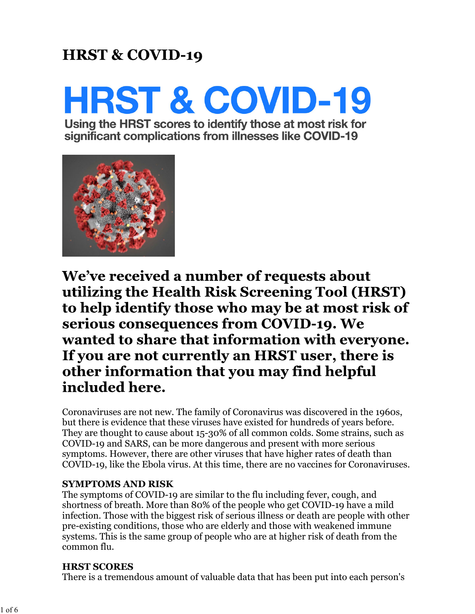### **HRST & COVID-19**

# **HRST & COVID-19**

Using the HRST scores to identify those at most risk for significant complications from illnesses like COVID-19



We've received a number of requests about utilizing the Health Risk Screening Tool (HRST) to help identify those who may be at most risk of serious consequences from COVID-19. We wanted to share that information with everyone. If you are not currently an HRST user, there is other information that you may find helpful included here.

Coronaviruses are not new. The family of Coronavirus was discovered in the 1960s, but there is evidence that these viruses have existed for hundreds of years before. They are thought to cause about 15-30% of all common colds. Some strains, such as COVID-19 and SARS, can be more dangerous and present with more serious symptoms. However, there are other viruses that have higher rates of death than COVID-19, like the Ebola virus. At this time, there are no vaccines for Coronaviruses.

#### **SYMPTOMS AND RISK**

The symptoms of COVID-19 are similar to the flu including fever, cough, and shortness of breath. More than 80% of the people who get COVID-19 have a mild infection. Those with the biggest risk of serious illness or death are people with other pre-existing conditions, those who are elderly and those with weakened immune systems. This is the same group of people who are at higher risk of death from the common flu.

#### **HRST SCORES**

There is a tremendous amount of valuable data that has been put into each person's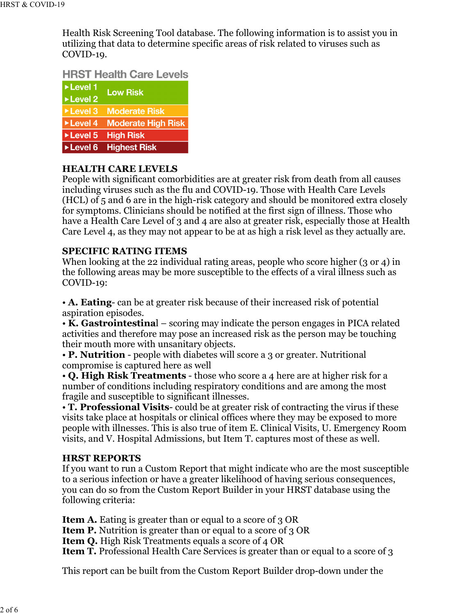Health Risk Screening Tool database. The following information is to assist you in utilizing that data to determine specific areas of risk related to viruses such as COVID-19.

#### **HRST Health Care Levels**

| ▶Level 1                 | <b>Low Risk</b>           |
|--------------------------|---------------------------|
| Level 2                  |                           |
|                          | ▶Level 3 Moderate Risk    |
| ▶Level 4                 | <b>Moderate High Risk</b> |
| $\triangleright$ Level 5 | <b>High Risk</b>          |
| Level 6                  | <b>Highest Risk</b>       |

#### **HEALTH CARE LEVELS**

People with significant comorbidities are at greater risk from death from all causes including viruses such as the flu and COVID-19. Those with Health Care Levels (HCL) of 5 and 6 are in the high-risk category and should be monitored extra closely for symptoms. Clinicians should be notified at the first sign of illness. Those who have a Health Care Level of 3 and 4 are also at greater risk, especially those at Health Care Level 4, as they may not appear to be at as high a risk level as they actually are.

#### **SPECIFIC RATING ITEMS**

When looking at the 22 individual rating areas, people who score higher (3 or 4) in the following areas may be more susceptible to the effects of a viral illness such as COVID-19:

• **A. Eating**- can be at greater risk because of their increased risk of potential aspiration episodes.

• **K. Gastrointestina**l – scoring may indicate the person engages in PICA related activities and therefore may pose an increased risk as the person may be touching their mouth more with unsanitary objects.

• **P. Nutrition** - people with diabetes will score a 3 or greater. Nutritional compromise is captured here as well

• **Q. High Risk Treatments** - those who score a 4 here are at higher risk for a number of conditions including respiratory conditions and are among the most fragile and susceptible to significant illnesses.

• **T. Professional Visits**- could be at greater risk of contracting the virus if these visits take place at hospitals or clinical offices where they may be exposed to more people with illnesses. This is also true of item E. Clinical Visits, U. Emergency Room visits, and V. Hospital Admissions, but Item T. captures most of these as well.

#### **HRST REPORTS**

If you want to run a Custom Report that might indicate who are the most susceptible to a serious infection or have a greater likelihood of having serious consequences, you can do so from the Custom Report Builder in your HRST database using the following criteria:

**Item A.** Eating is greater than or equal to a score of 3 OR

**Item P.** Nutrition is greater than or equal to a score of 3 OR

**Item Q.** High Risk Treatments equals a score of 4 OR

**Item T.** Professional Health Care Services is greater than or equal to a score of 3

This report can be built from the Custom Report Builder drop-down under the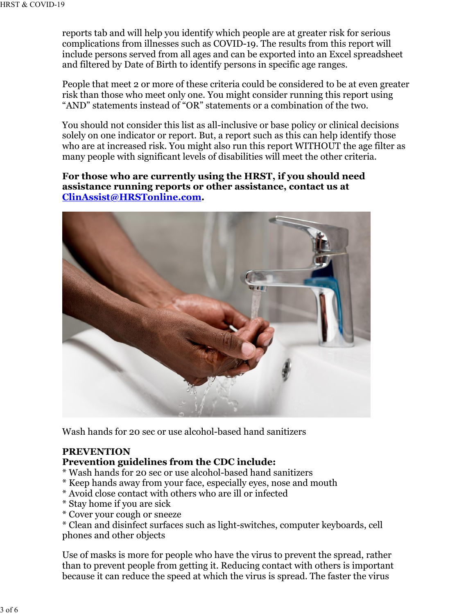reports tab and will help you identify which people are at greater risk for serious complications from illnesses such as COVID-19. The results from this report will include persons served from all ages and can be exported into an Excel spreadsheet and filtered by Date of Birth to identify persons in specific age ranges.

People that meet 2 or more of these criteria could be considered to be at even greater risk than those who meet only one. You might consider running this report using "AND" statements instead of "OR" statements or a combination of the two.

You should not consider this list as all-inclusive or base policy or clinical decisions solely on one indicator or report. But, a report such as this can help identify those who are at increased risk. You might also run this report WITHOUT the age filter as many people with significant levels of disabilities will meet the other criteria.

**For those who are currently using the HRST, if you should need assistance running reports or other assistance, contact us at ClinAssist@HRSTonline.com.**



Wash hands for 20 sec or use alcohol-based hand sanitizers

#### **PREVENTION**

#### **Prevention guidelines from the CDC include:**

- \* Wash hands for 20 sec or use alcohol-based hand sanitizers
- \* Keep hands away from your face, especially eyes, nose and mouth
- \* Avoid close contact with others who are ill or infected
- \* Stay home if you are sick
- \* Cover your cough or sneeze

\* Clean and disinfect surfaces such as light-switches, computer keyboards, cell phones and other objects

Use of masks is more for people who have the virus to prevent the spread, rather than to prevent people from getting it. Reducing contact with others is important because it can reduce the speed at which the virus is spread. The faster the virus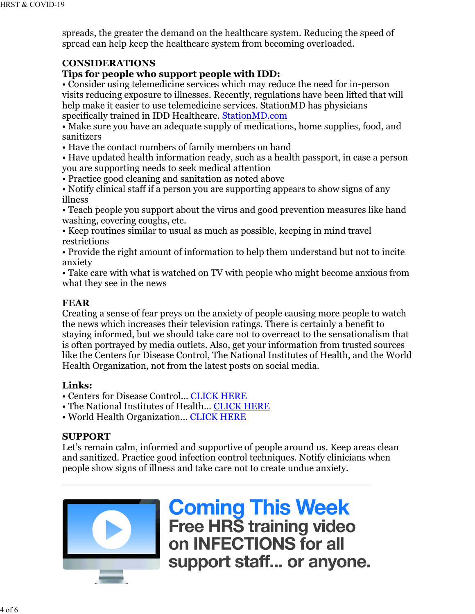spreads, the greater the demand on the healthcare system. Reducing the speed of spread can help keep the healthcare system from becoming overloaded.

#### **CONSIDERATIONS**

#### **Tips for people who support people with IDD:**

• Consider using telemedicine services which may reduce the need for in-person visits reducing exposure to illnesses. Recently, regulations have been lifted that will help make it easier to use telemedicine services. StationMD has physicians specifically trained in IDD Healthcare. StationMD.com

• Make sure you have an adequate supply of medications, home supplies, food, and sanitizers

• Have the contact numbers of family members on hand

• Have updated health information ready, such as a health passport, in case a person you are supporting needs to seek medical attention

• Practice good cleaning and sanitation as noted above

• Notify clinical staff if a person you are supporting appears to show signs of any illness

• Teach people you support about the virus and good prevention measures like hand washing, covering coughs, etc.

• Keep routines similar to usual as much as possible, keeping in mind travel restrictions

• Provide the right amount of information to help them understand but not to incite anxiety

• Take care with what is watched on TV with people who might become anxious from what they see in the news

#### **FEAR**

Creating a sense of fear preys on the anxiety of people causing more people to watch the news which increases their television ratings. There is certainly a benefit to staying informed, but we should take care not to overreact to the sensationalism that is often portrayed by media outlets. Also, get your information from trusted sources like the Centers for Disease Control, The National Institutes of Health, and the World Health Organization, not from the latest posts on social media.

#### **Links:**

• Centers for Disease Control... CLICK HERE

- The National Institutes of Health... CLICK HERE
- World Health Organization... CLICK HERE

#### **SUPPORT**

Let's remain calm, informed and supportive of people around us. Keep areas clean and sanitized. Practice good infection control techniques. Notify clinicians when people show signs of illness and take care not to create undue anxiety.



**Coming This Week**<br>Free HRS training video on INFECTIONS for all support staff... or anyone.